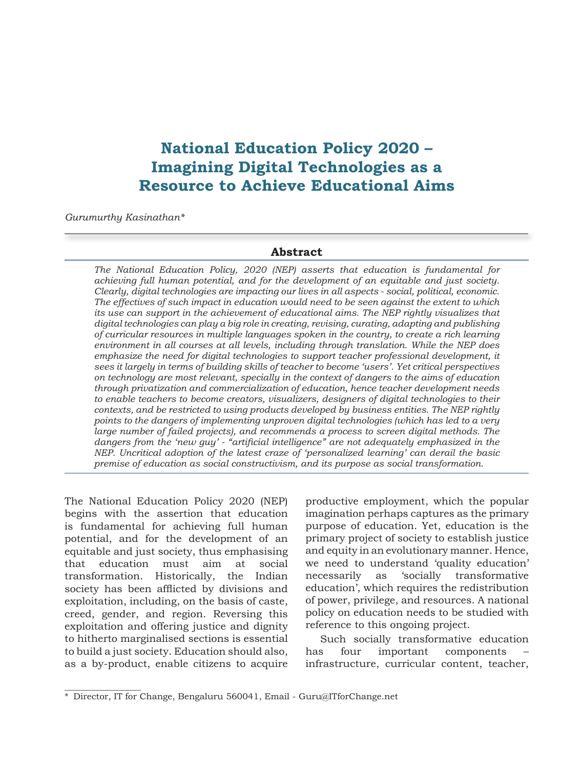# **National Education Policy 2020 – Imagining Digital Technologies as a Resource to Achieve Educational Aims**

*Gurumurthy Kasinathan\**

#### **Abstract**

*The National Education Policy, 2020 (NEP) asserts that education is fundamental for achieving full human potential, and for the development of an equitable and just society. Clearly, digital technologies are impacting our lives in all aspects - social, political, economic. The effectives of such impact in education would need to be seen against the extent to which its use can support in the achievement of educational aims. The NEP rightly visualizes that digital technologies can play a big role in creating, revising, curating, adapting and publishing of curricular resources in multiple languages spoken in the country, to create a rich learning environment in all courses at all levels, including through translation. While the NEP does*  emphasize the need for digital technologies to support teacher professional development, it *sees it largely in terms of building skills of teacher to become 'users'. Yet critical perspectives on technology are most relevant, specially in the context of dangers to the aims of education through privatization and commercialization of education, hence teacher development needs to enable teachers to become creators, visualizers, designers of digital technologies to their contexts, and be restricted to using products developed by business entities. The NEP rightly points to the dangers of implementing unproven digital technologies (which has led to a very large number of failed projects), and recommends a process to screen digital methods. The dangers from the 'new guy' - "artificial intelligence" are not adequately emphasized in the NEP. Uncritical adoption of the latest craze of 'personalized learning' can derail the basic premise of education as social constructivism, and its purpose as social transformation.*

The National Education Policy 2020 (NEP) begins with the assertion that education is fundamental for achieving full human potential, and for the development of an equitable and just society, thus emphasising that education must aim at social transformation. Historically, the Indian society has been afflicted by divisions and exploitation, including, on the basis of caste, creed, gender, and region. Reversing this exploitation and offering justice and dignity to hitherto marginalised sections is essential to build a just society. Education should also, as a by-product, enable citizens to acquire

productive employment, which the popular imagination perhaps captures as the primary purpose of education. Yet, education is the primary project of society to establish justice and equity in an evolutionary manner. Hence, we need to understand 'quality education' necessarily as 'socially transformative education', which requires the redistribution of power, privilege, and resources. A national policy on education needs to be studied with reference to this ongoing project.

Such socially transformative education has four important components infrastructure, curricular content, teacher,

<sup>\*</sup> Director, IT for Change, Bengaluru 560041, Email - Guru@ITforChange.net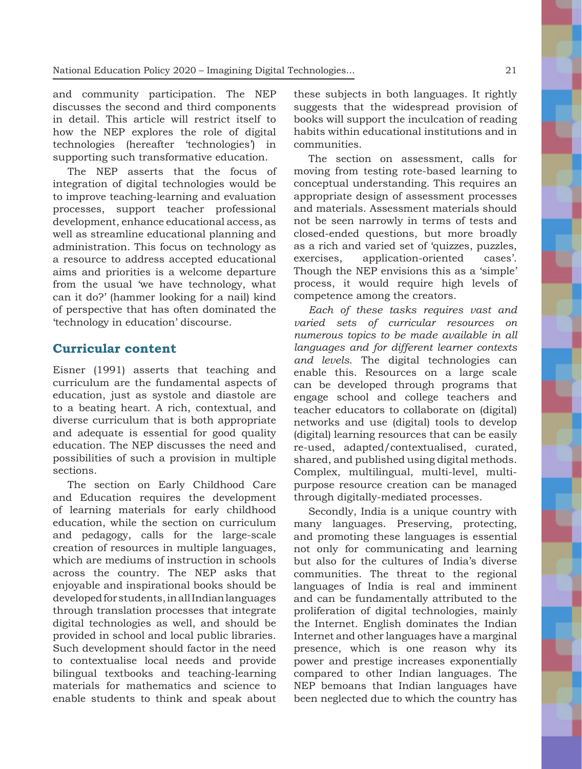and community participation. The NEP discusses the second and third components in detail. This article will restrict itself to how the NEP explores the role of digital technologies (hereafter 'technologies') in supporting such transformative education.

The NEP asserts that the focus of integration of digital technologies would be to improve teaching-learning and evaluation processes, support teacher professional development, enhance educational access, as well as streamline educational planning and administration. This focus on technology as a resource to address accepted educational aims and priorities is a welcome departure from the usual 'we have technology, what can it do?' (hammer looking for a nail) kind of perspective that has often dominated the 'technology in education' discourse.

#### **Curricular content**

Eisner (1991) asserts that teaching and curriculum are the fundamental aspects of education, just as systole and diastole are to a beating heart. A rich, contextual, and diverse curriculum that is both appropriate and adequate is essential for good quality education. The NEP discusses the need and possibilities of such a provision in multiple sections.

The section on Early Childhood Care and Education requires the development of learning materials for early childhood education, while the section on curriculum and pedagogy, calls for the large-scale creation of resources in multiple languages, which are mediums of instruction in schools across the country. The NEP asks that enjoyable and inspirational books should be developed for students, in all Indian languages through translation processes that integrate digital technologies as well, and should be provided in school and local public libraries. Such development should factor in the need to contextualise local needs and provide bilingual textbooks and teaching-learning materials for mathematics and science to enable students to think and speak about

these subjects in both languages. It rightly suggests that the widespread provision of books will support the inculcation of reading habits within educational institutions and in communities.

The section on assessment, calls for moving from testing rote-based learning to conceptual understanding. This requires an appropriate design of assessment processes and materials. Assessment materials should not be seen narrowly in terms of tests and closed-ended questions, but more broadly as a rich and varied set of 'quizzes, puzzles, exercises, application-oriented cases'. Though the NEP envisions this as a 'simple' process, it would require high levels of competence among the creators.

*Each of these tasks requires vast and varied sets of curricular resources on numerous topics to be made available in all languages and for different learner contexts and levels*. The digital technologies can enable this. Resources on a large scale can be developed through programs that engage school and college teachers and teacher educators to collaborate on (digital) networks and use (digital) tools to develop (digital) learning resources that can be easily re-used, adapted/contextualised, curated, shared, and published using digital methods. Complex, multilingual, multi-level, multipurpose resource creation can be managed through digitally-mediated processes.

Secondly, India is a unique country with many languages. Preserving, protecting, and promoting these languages is essential not only for communicating and learning but also for the cultures of India's diverse communities. The threat to the regional languages of India is real and imminent and can be fundamentally attributed to the proliferation of digital technologies, mainly the Internet. English dominates the Indian Internet and other languages have a marginal presence, which is one reason why its power and prestige increases exponentially compared to other Indian languages. The NEP bemoans that Indian languages have been neglected due to which the country has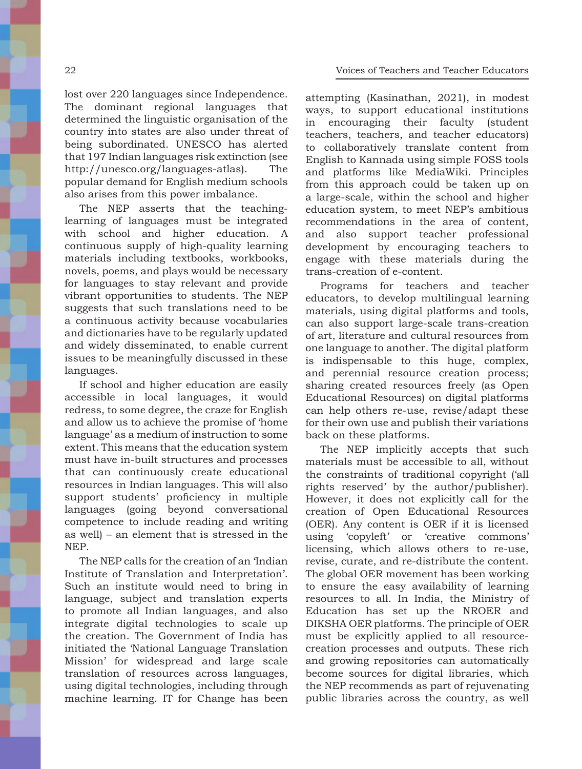lost over 220 languages since Independence. The dominant regional languages that determined the linguistic organisation of the country into states are also under threat of being subordinated. UNESCO has alerted that 197 Indian languages risk extinction (see http://unesco.org/languages-atlas). The popular demand for English medium schools also arises from this power imbalance.

The NEP asserts that the teachinglearning of languages must be integrated with school and higher education. A continuous supply of high-quality learning materials including textbooks, workbooks, novels, poems, and plays would be necessary for languages to stay relevant and provide vibrant opportunities to students. The NEP suggests that such translations need to be a continuous activity because vocabularies and dictionaries have to be regularly updated and widely disseminated, to enable current issues to be meaningfully discussed in these languages.

If school and higher education are easily accessible in local languages, it would redress, to some degree, the craze for English and allow us to achieve the promise of 'home language' as a medium of instruction to some extent. This means that the education system must have in-built structures and processes that can continuously create educational resources in Indian languages. This will also support students' proficiency in multiple languages (going beyond conversational competence to include reading and writing as well) – an element that is stressed in the NEP.

The NEP calls for the creation of an 'Indian Institute of Translation and Interpretation'. Such an institute would need to bring in language, subject and translation experts to promote all Indian languages, and also integrate digital technologies to scale up the creation. The Government of India has initiated the 'National Language Translation Mission' for widespread and large scale translation of resources across languages, using digital technologies, including through machine learning. IT for Change has been

attempting (Kasinathan, 2021), in modest ways, to support educational institutions in encouraging their faculty (student teachers, teachers, and teacher educators) to collaboratively translate content from English to Kannada using simple FOSS tools and platforms like MediaWiki. Principles from this approach could be taken up on a large-scale, within the school and higher education system, to meet NEP's ambitious recommendations in the area of content, and also support teacher professional development by encouraging teachers to engage with these materials during the trans-creation of e-content.

Programs for teachers and teacher educators, to develop multilingual learning materials, using digital platforms and tools, can also support large-scale trans-creation of art, literature and cultural resources from one language to another. The digital platform is indispensable to this huge, complex, and perennial resource creation process; sharing created resources freely (as Open Educational Resources) on digital platforms can help others re-use, revise/adapt these for their own use and publish their variations back on these platforms.

The NEP implicitly accepts that such materials must be accessible to all, without the constraints of traditional copyright ('all rights reserved' by the author/publisher). However, it does not explicitly call for the creation of Open Educational Resources (OER). Any content is OER if it is licensed using 'copyleft' or 'creative commons' licensing, which allows others to re-use, revise, curate, and re-distribute the content. The global OER movement has been working to ensure the easy availability of learning resources to all. In India, the Ministry of Education has set up the NROER and DIKSHA OER platforms. The principle of OER must be explicitly applied to all resourcecreation processes and outputs. These rich and growing repositories can automatically become sources for digital libraries, which the NEP recommends as part of rejuvenating public libraries across the country, as well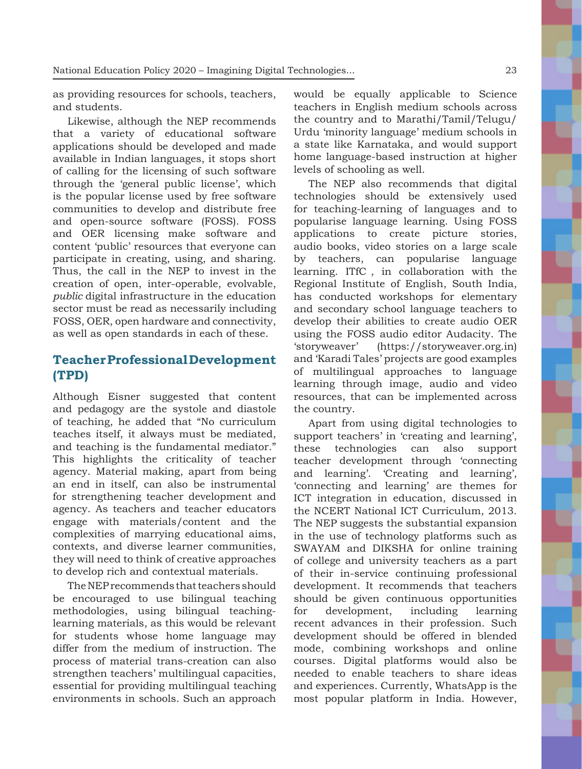as providing resources for schools, teachers, and students.

Likewise, although the NEP recommends that a variety of educational software applications should be developed and made available in Indian languages, it stops short of calling for the licensing of such software through the 'general public license', which is the popular license used by free software communities to develop and distribute free and open-source software (FOSS). FOSS and OER licensing make software and content 'public' resources that everyone can participate in creating, using, and sharing. Thus, the call in the NEP to invest in the creation of open, inter-operable, evolvable, *public* digital infrastructure in the education sector must be read as necessarily including FOSS, OER, open hardware and connectivity, as well as open standards in each of these.

### **Teacher Professional Development (TPD)**

Although Eisner suggested that content and pedagogy are the systole and diastole of teaching, he added that "No curriculum teaches itself, it always must be mediated, and teaching is the fundamental mediator." This highlights the criticality of teacher agency. Material making, apart from being an end in itself, can also be instrumental for strengthening teacher development and agency. As teachers and teacher educators engage with materials/content and the complexities of marrying educational aims, contexts, and diverse learner communities, they will need to think of creative approaches to develop rich and contextual materials.

The NEP recommends that teachers should be encouraged to use bilingual teaching methodologies, using bilingual teachinglearning materials, as this would be relevant for students whose home language may differ from the medium of instruction. The process of material trans-creation can also strengthen teachers' multilingual capacities, essential for providing multilingual teaching environments in schools. Such an approach would be equally applicable to Science teachers in English medium schools across the country and to Marathi/Tamil/Telugu/ Urdu 'minority language' medium schools in a state like Karnataka, and would support home language-based instruction at higher levels of schooling as well.

The NEP also recommends that digital technologies should be extensively used for teaching-learning of languages and to popularise language learning. Using FOSS applications to create picture stories, audio books, video stories on a large scale by teachers, can popularise language learning. ITfC , in collaboration with the Regional Institute of English, South India, has conducted workshops for elementary and secondary school language teachers to develop their abilities to create audio OER using the FOSS audio editor Audacity. The 'storyweaver' (https://storyweaver.org.in) and 'Karadi Tales' projects are good examples of multilingual approaches to language learning through image, audio and video resources, that can be implemented across the country.

Apart from using digital technologies to support teachers' in 'creating and learning', these technologies can also support teacher development through 'connecting and learning'. 'Creating and learning', 'connecting and learning' are themes for ICT integration in education, discussed in the NCERT National ICT Curriculum, 2013. The NEP suggests the substantial expansion in the use of technology platforms such as SWAYAM and DIKSHA for online training of college and university teachers as a part of their in-service continuing professional development. It recommends that teachers should be given continuous opportunities for development, including learning recent advances in their profession. Such development should be offered in blended mode, combining workshops and online courses. Digital platforms would also be needed to enable teachers to share ideas and experiences. Currently, WhatsApp is the most popular platform in India. However,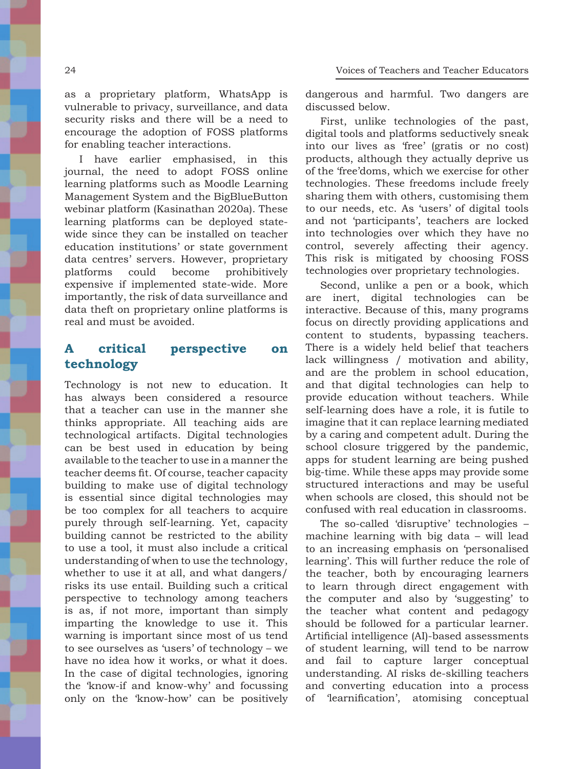as a proprietary platform, WhatsApp is vulnerable to privacy, surveillance, and data security risks and there will be a need to encourage the adoption of FOSS platforms for enabling teacher interactions.

I have earlier emphasised, in this journal, the need to adopt FOSS online learning platforms such as Moodle Learning Management System and the BigBlueButton webinar platform (Kasinathan 2020a). These learning platforms can be deployed statewide since they can be installed on teacher education institutions' or state government data centres' servers. However, proprietary platforms could become prohibitively expensive if implemented state-wide. More importantly, the risk of data surveillance and data theft on proprietary online platforms is real and must be avoided.

## **A critical perspective on technology**

Technology is not new to education. It has always been considered a resource that a teacher can use in the manner she thinks appropriate. All teaching aids are technological artifacts. Digital technologies can be best used in education by being available to the teacher to use in a manner the teacher deems fit. Of course, teacher capacity building to make use of digital technology is essential since digital technologies may be too complex for all teachers to acquire purely through self-learning. Yet, capacity building cannot be restricted to the ability to use a tool, it must also include a critical understanding of when to use the technology, whether to use it at all, and what dangers/ risks its use entail. Building such a critical perspective to technology among teachers is as, if not more, important than simply imparting the knowledge to use it. This warning is important since most of us tend to see ourselves as 'users' of technology – we have no idea how it works, or what it does. In the case of digital technologies, ignoring the 'know-if and know-why' and focussing only on the 'know-how' can be positively dangerous and harmful. Two dangers are discussed below.

First, unlike technologies of the past, digital tools and platforms seductively sneak into our lives as 'free' (gratis or no cost) products, although they actually deprive us of the 'free'doms, which we exercise for other technologies. These freedoms include freely sharing them with others, customising them to our needs, etc. As 'users' of digital tools and not 'participants', teachers are locked into technologies over which they have no control, severely affecting their agency. This risk is mitigated by choosing FOSS technologies over proprietary technologies.

Second, unlike a pen or a book, which are inert, digital technologies can be interactive. Because of this, many programs focus on directly providing applications and content to students, bypassing teachers. There is a widely held belief that teachers lack willingness / motivation and ability, and are the problem in school education, and that digital technologies can help to provide education without teachers. While self-learning does have a role, it is futile to imagine that it can replace learning mediated by a caring and competent adult. During the school closure triggered by the pandemic, apps for student learning are being pushed big-time. While these apps may provide some structured interactions and may be useful when schools are closed, this should not be confused with real education in classrooms.

The so-called 'disruptive' technologies – machine learning with big data – will lead to an increasing emphasis on 'personalised learning'. This will further reduce the role of the teacher, both by encouraging learners to learn through direct engagement with the computer and also by 'suggesting' to the teacher what content and pedagogy should be followed for a particular learner. Artificial intelligence (AI)-based assessments of student learning, will tend to be narrow and fail to capture larger conceptual understanding. AI risks de-skilling teachers and converting education into a process of 'learnification', atomising conceptual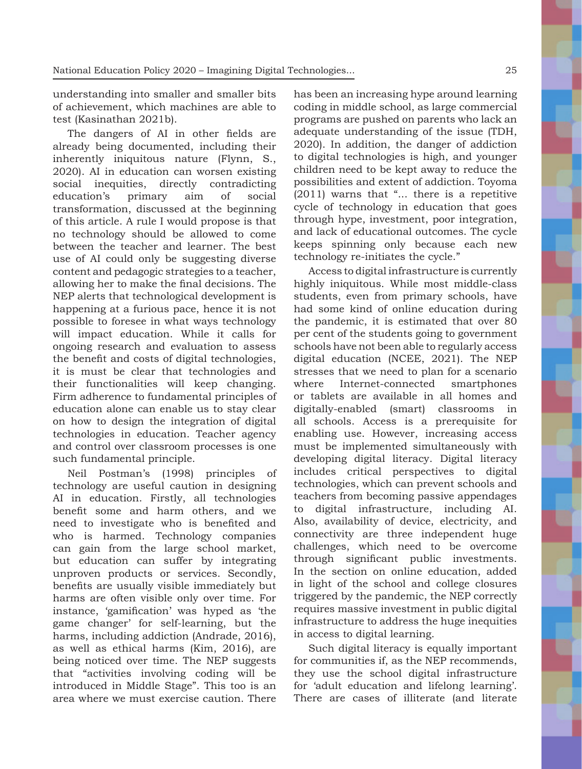understanding into smaller and smaller bits of achievement, which machines are able to test (Kasinathan 2021b).

The dangers of AI in other fields are already being documented, including their inherently iniquitous nature (Flynn, S., 2020). AI in education can worsen existing social inequities, directly contradicting education's primary aim of social transformation, discussed at the beginning of this article. A rule I would propose is that no technology should be allowed to come between the teacher and learner. The best use of AI could only be suggesting diverse content and pedagogic strategies to a teacher, allowing her to make the final decisions. The NEP alerts that technological development is happening at a furious pace, hence it is not possible to foresee in what ways technology will impact education. While it calls for ongoing research and evaluation to assess the benefit and costs of digital technologies, it is must be clear that technologies and their functionalities will keep changing. Firm adherence to fundamental principles of education alone can enable us to stay clear on how to design the integration of digital technologies in education. Teacher agency and control over classroom processes is one such fundamental principle.

Neil Postman's (1998) principles of technology are useful caution in designing AI in education. Firstly, all technologies benefit some and harm others, and we need to investigate who is benefited and who is harmed. Technology companies can gain from the large school market, but education can suffer by integrating unproven products or services. Secondly, benefits are usually visible immediately but harms are often visible only over time. For instance, 'gamification' was hyped as 'the game changer' for self-learning, but the harms, including addiction (Andrade, 2016), as well as ethical harms (Kim, 2016), are being noticed over time. The NEP suggests that "activities involving coding will be introduced in Middle Stage". This too is an area where we must exercise caution. There has been an increasing hype around learning coding in middle school, as large commercial programs are pushed on parents who lack an adequate understanding of the issue (TDH, 2020). In addition, the danger of addiction to digital technologies is high, and younger children need to be kept away to reduce the possibilities and extent of addiction. Toyoma (2011) warns that "... there is a repetitive cycle of technology in education that goes through hype, investment, poor integration, and lack of educational outcomes. The cycle keeps spinning only because each new technology re-initiates the cycle."

Access to digital infrastructure is currently highly iniquitous. While most middle-class students, even from primary schools, have had some kind of online education during the pandemic, it is estimated that over 80 per cent of the students going to government schools have not been able to regularly access digital education (NCEE, 2021). The NEP stresses that we need to plan for a scenario where Internet-connected smartphones or tablets are available in all homes and digitally-enabled (smart) classrooms in all schools. Access is a prerequisite for enabling use. However, increasing access must be implemented simultaneously with developing digital literacy. Digital literacy includes critical perspectives to digital technologies, which can prevent schools and teachers from becoming passive appendages to digital infrastructure, including AI. Also, availability of device, electricity, and connectivity are three independent huge challenges, which need to be overcome through significant public investments. In the section on online education, added in light of the school and college closures triggered by the pandemic, the NEP correctly requires massive investment in public digital infrastructure to address the huge inequities in access to digital learning.

Such digital literacy is equally important for communities if, as the NEP recommends, they use the school digital infrastructure for 'adult education and lifelong learning'. There are cases of illiterate (and literate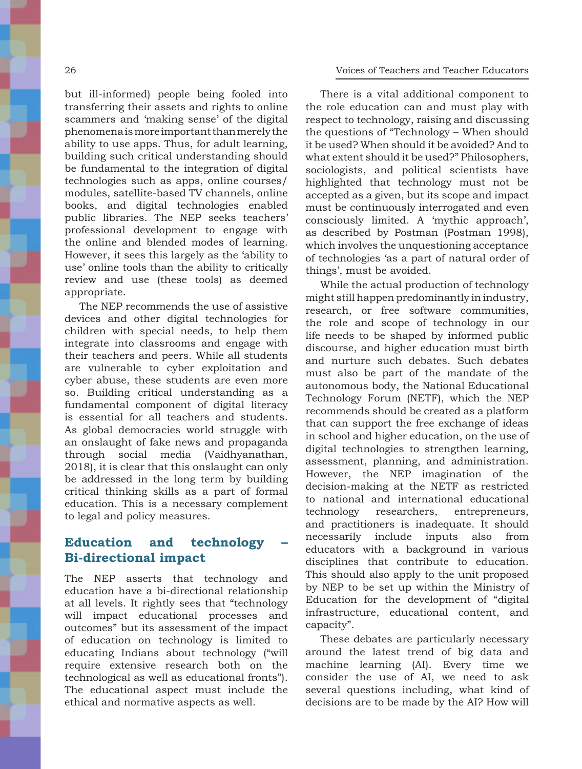**Voices of Teachers and Teacher Educators**

but ill-informed) people being fooled into transferring their assets and rights to online scammers and 'making sense' of the digital phenomena is more important than merely the ability to use apps. Thus, for adult learning, building such critical understanding should be fundamental to the integration of digital technologies such as apps, online courses/ modules, satellite-based TV channels, online books, and digital technologies enabled public libraries. The NEP seeks teachers' professional development to engage with the online and blended modes of learning. However, it sees this largely as the 'ability to use' online tools than the ability to critically review and use (these tools) as deemed appropriate.

The NEP recommends the use of assistive devices and other digital technologies for children with special needs, to help them integrate into classrooms and engage with their teachers and peers. While all students are vulnerable to cyber exploitation and cyber abuse, these students are even more so. Building critical understanding as a fundamental component of digital literacy is essential for all teachers and students. As global democracies world struggle with an onslaught of fake news and propaganda through social media (Vaidhyanathan, 2018), it is clear that this onslaught can only be addressed in the long term by building critical thinking skills as a part of formal education. This is a necessary complement to legal and policy measures.

#### **Education and technology – Bi-directional impact**

The NEP asserts that technology and education have a bi-directional relationship at all levels. It rightly sees that "technology will impact educational processes and outcomes" but its assessment of the impact of education on technology is limited to educating Indians about technology ("will require extensive research both on the technological as well as educational fronts"). The educational aspect must include the ethical and normative aspects as well.

There is a vital additional component to the role education can and must play with respect to technology, raising and discussing the questions of "Technology – When should it be used? When should it be avoided? And to what extent should it be used?" Philosophers, sociologists, and political scientists have highlighted that technology must not be accepted as a given, but its scope and impact must be continuously interrogated and even consciously limited. A 'mythic approach', as described by Postman (Postman 1998), which involves the unquestioning acceptance of technologies 'as a part of natural order of things', must be avoided.

While the actual production of technology might still happen predominantly in industry, research, or free software communities, the role and scope of technology in our life needs to be shaped by informed public discourse, and higher education must birth and nurture such debates. Such debates must also be part of the mandate of the autonomous body, the National Educational Technology Forum (NETF), which the NEP recommends should be created as a platform that can support the free exchange of ideas in school and higher education, on the use of digital technologies to strengthen learning, assessment, planning, and administration. However, the NEP imagination of the decision-making at the NETF as restricted to national and international educational technology researchers, entrepreneurs, and practitioners is inadequate. It should necessarily include inputs also from educators with a background in various disciplines that contribute to education. This should also apply to the unit proposed by NEP to be set up within the Ministry of Education for the development of "digital infrastructure, educational content, and capacity".

These debates are particularly necessary around the latest trend of big data and machine learning (AI). Every time we consider the use of AI, we need to ask several questions including, what kind of decisions are to be made by the AI? How will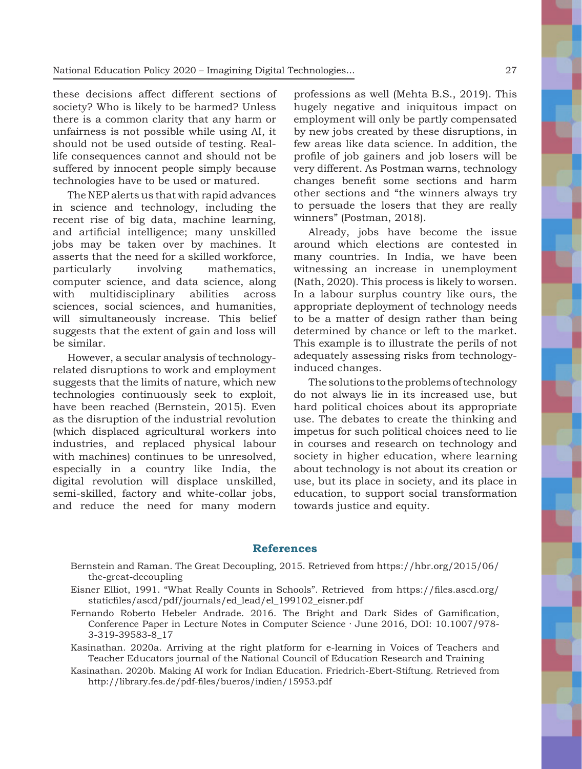these decisions affect different sections of society? Who is likely to be harmed? Unless there is a common clarity that any harm or unfairness is not possible while using AI, it should not be used outside of testing. Reallife consequences cannot and should not be suffered by innocent people simply because technologies have to be used or matured.

The NEP alerts us that with rapid advances in science and technology, including the recent rise of big data, machine learning, and artificial intelligence; many unskilled jobs may be taken over by machines. It asserts that the need for a skilled workforce, particularly involving mathematics, computer science, and data science, along with multidisciplinary abilities across sciences, social sciences, and humanities, will simultaneously increase. This belief suggests that the extent of gain and loss will be similar.

However, a secular analysis of technologyrelated disruptions to work and employment suggests that the limits of nature, which new technologies continuously seek to exploit, have been reached (Bernstein, 2015). Even as the disruption of the industrial revolution (which displaced agricultural workers into industries, and replaced physical labour with machines) continues to be unresolved, especially in a country like India, the digital revolution will displace unskilled, semi-skilled, factory and white-collar jobs, and reduce the need for many modern

professions as well (Mehta B.S., 2019). This hugely negative and iniquitous impact on employment will only be partly compensated by new jobs created by these disruptions, in few areas like data science. In addition, the profile of job gainers and job losers will be very different. As Postman warns, technology changes benefit some sections and harm other sections and "the winners always try to persuade the losers that they are really winners" (Postman, 2018).

Already, jobs have become the issue around which elections are contested in many countries. In India, we have been witnessing an increase in unemployment (Nath, 2020). This process is likely to worsen. In a labour surplus country like ours, the appropriate deployment of technology needs to be a matter of design rather than being determined by chance or left to the market. This example is to illustrate the perils of not adequately assessing risks from technologyinduced changes.

The solutions to the problems of technology do not always lie in its increased use, but hard political choices about its appropriate use. The debates to create the thinking and impetus for such political choices need to lie in courses and research on technology and society in higher education, where learning about technology is not about its creation or use, but its place in society, and its place in education, to support social transformation towards justice and equity.

#### **References**

- Bernstein and Raman. The Great Decoupling, 2015. Retrieved from https://hbr.org/2015/06/ the-great-decoupling
- Eisner Elliot, 1991. "What Really Counts in Schools". Retrieved from https://files.ascd.org/ staticfiles/ascd/pdf/journals/ed\_lead/el\_199102\_eisner.pdf
- Fernando Roberto Hebeler Andrade. 2016. The Bright and Dark Sides of Gamification, Conference Paper in Lecture Notes in Computer Science · June 2016, DOI: 10.1007/978- 3-319-39583-8\_17
- Kasinathan. 2020a. Arriving at the right platform for e-learning in Voices of Teachers and Teacher Educators journal of the National Council of Education Research and Training
- Kasinathan. 2020b. Making AI work for Indian Education. Friedrich-Ebert-Stiftung. Retrieved from http://library.fes.de/pdf-files/bueros/indien/15953.pdf